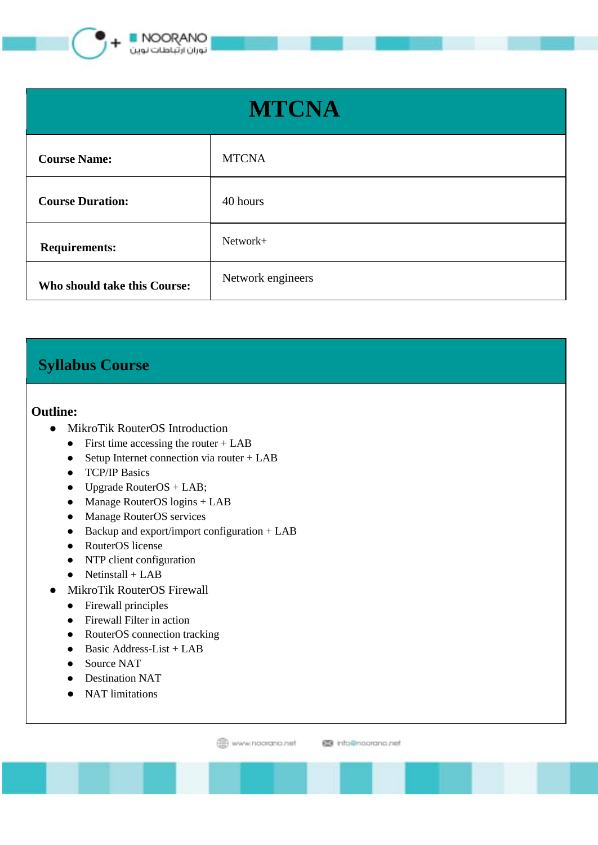

| <b>MTCNA</b>                 |                   |
|------------------------------|-------------------|
| <b>Course Name:</b>          | <b>MTCNA</b>      |
| <b>Course Duration:</b>      | 40 hours          |
| <b>Requirements:</b>         | Network+          |
| Who should take this Course: | Network engineers |

## **Syllabus Course**

## **Outline:**

- MikroTik RouterOS Introduction
	- $\bullet$  First time accessing the router + LAB
	- $\bullet$  Setup Internet connection via router + LAB
	- TCP/IP Basics
	- $\bullet$  Upgrade RouterOS + LAB;
	- Manage RouterOS logins + LAB
	- Manage RouterOS services
	- Backup and export/import configuration + LAB
	- RouterOS license
	- NTP client configuration
	- $\bullet$  Netinstall + LAB
- MikroTik RouterOS Firewall
	- Firewall principles
	- Firewall Filter in action
	- RouterOS connection tracking
	- Basic Address-List + LAB
	- Source NAT
	- Destination NAT
	- NAT limitations

www.noorano.net

图 info@noorano.net